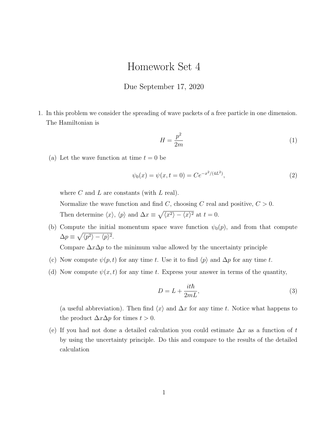## Homework Set 4

## Due September 17, 2020

1. In this problem we consider the spreading of wave packets of a free particle in one dimension. The Hamiltonian is

$$
H = \frac{p^2}{2m} \tag{1}
$$

(a) Let the wave function at time  $t = 0$  be

$$
\psi_0(x) = \psi(x, t = 0) = Ce^{-x^2/(4L^2)},\tag{2}
$$

where  $C$  and  $L$  are constants (with  $L$  real).

Normalize the wave function and find C, choosing C real and positive,  $C > 0$ . Then determine  $\langle x \rangle$ ,  $\langle p \rangle$  and  $\Delta x \equiv \sqrt{\langle x^2 \rangle - \langle x \rangle^2}$  at  $t = 0$ .

(b) Compute the initial momentum space wave function  $\psi_0(p)$ , and from that compute  $\Delta p \equiv \sqrt{\langle p^2 \rangle - \langle p \rangle^2}.$ 

Compare  $\Delta x \Delta p$  to the minimum value allowed by the uncertainty principle

- (c) Now compute  $\psi(p, t)$  for any time t. Use it to find  $\langle p \rangle$  and  $\Delta p$  for any time t.
- (d) Now compute  $\psi(x, t)$  for any time t. Express your answer in terms of the quantity,

$$
D = L + \frac{it\hbar}{2mL},\tag{3}
$$

(a useful abbreviation). Then find  $\langle x \rangle$  and  $\Delta x$  for any time t. Notice what happens to the product  $\Delta x \Delta p$  for times  $t > 0$ .

(e) If you had not done a detailed calculation you could estimate  $\Delta x$  as a function of t by using the uncertainty principle. Do this and compare to the results of the detailed calculation